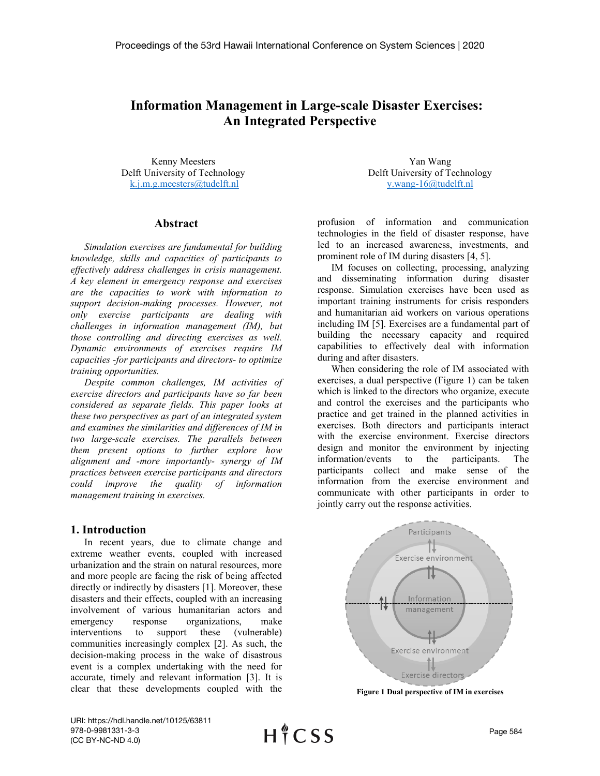# **Information Management in Large-scale Disaster Exercises: An Integrated Perspective**

Kenny Meesters Delft University of Technology [k.j.m.g.meesters@tudelft.nl](mailto:k.j.m.g.meesters@tudelft.nl)

Yan Wang Delft University of Technology [y.wang-16@tudelft.nl](mailto:y.wang-16@tudelft.nl)

### **Abstract**

*Simulation exercises are fundamental for building knowledge, skills and capacities of participants to effectively address challenges in crisis management. A key element in emergency response and exercises are the capacities to work with information to support decision-making processes. However, not only exercise participants are dealing with challenges in information management (IM), but those controlling and directing exercises as well. Dynamic environments of exercises require IM capacities -for participants and directors- to optimize training opportunities.* 

*Despite common challenges, IM activities of exercise directors and participants have so far been considered as separate fields. This paper looks at these two perspectives as part of an integrated system and examines the similarities and differences of IM in two large-scale exercises. The parallels between them present options to further explore how alignment and -more importantly- synergy of IM practices between exercise participants and directors could improve the quality of information management training in exercises.* 

#### **1. Introduction**

In recent years, due to climate change and extreme weather events, coupled with increased urbanization and the strain on natural resources, more and more people are facing the risk of being affected directly or indirectly by disasters [\[1\]](#page-9-0). Moreover, these disasters and their effects, coupled with an increasing involvement of various humanitarian actors and emergency response organizations, make interventions to support these (vulnerable) communities increasingly complex [\[2\]](#page-9-1). As such, the decision-making process in the wake of disastrous event is a complex undertaking with the need for accurate, timely and relevant information [\[3\]](#page-9-2). It is clear that these developments coupled with the profusion of information and communication technologies in the field of disaster response, have led to an increased awareness, investments, and prominent role of IM during disasters [\[4,](#page-9-3) [5\]](#page-9-4).

IM focuses on collecting, processing, analyzing and disseminating information during disaster response. Simulation exercises have been used as important training instruments for crisis responders and humanitarian aid workers on various operations including IM [\[5\]](#page-9-4). Exercises are a fundamental part of building the necessary capacity and required capabilities to effectively deal with information during and after disasters.

When considering the role of IM associated with exercises, a dual perspective [\(Figure 1\)](#page-0-0) can be taken which is linked to the directors who organize, execute and control the exercises and the participants who practice and get trained in the planned activities in exercises. Both directors and participants interact with the exercise environment. Exercise directors design and monitor the environment by injecting information/events to the participants. The participants collect and make sense of the information from the exercise environment and communicate with other participants in order to jointly carry out the response activities.



<span id="page-0-0"></span>**Figure 1 Dual perspective of IM in exercises**

URI: https://hdl.handle.net/10125/63811 978-0-9981331-3-3 (CC BY-NC-ND 4.0)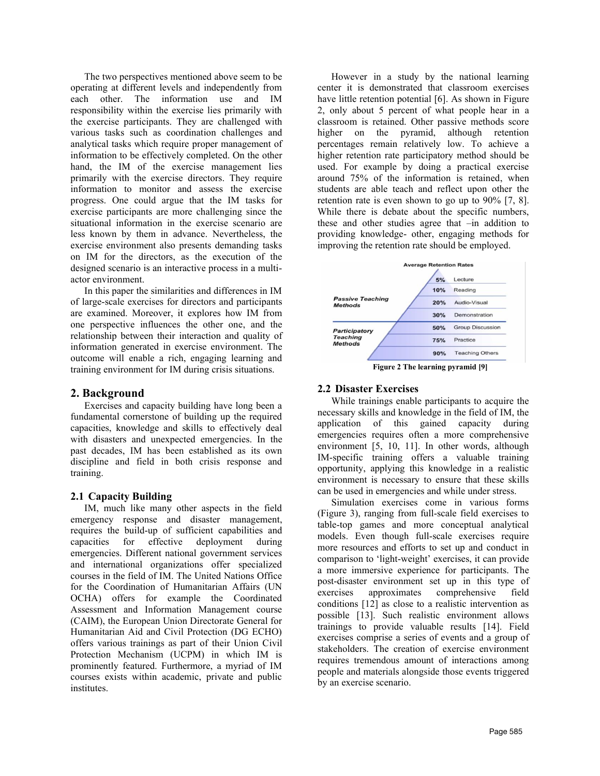The two perspectives mentioned above seem to be operating at different levels and independently from each other. The information use and IM responsibility within the exercise lies primarily with the exercise participants. They are challenged with various tasks such as coordination challenges and analytical tasks which require proper management of information to be effectively completed. On the other hand, the IM of the exercise management lies primarily with the exercise directors. They require information to monitor and assess the exercise progress. One could argue that the IM tasks for exercise participants are more challenging since the situational information in the exercise scenario are less known by them in advance. Nevertheless, the exercise environment also presents demanding tasks on IM for the directors, as the execution of the designed scenario is an interactive process in a multiactor environment.

In this paper the similarities and differences in IM of large-scale exercises for directors and participants are examined. Moreover, it explores how IM from one perspective influences the other one, and the relationship between their interaction and quality of information generated in exercise environment. The outcome will enable a rich, engaging learning and training environment for IM during crisis situations.

## **2. Background**

Exercises and capacity building have long been a fundamental cornerstone of building up the required capacities, knowledge and skills to effectively deal with disasters and unexpected emergencies. In the past decades, IM has been established as its own discipline and field in both crisis response and training.

### **2.1 Capacity Building**

IM, much like many other aspects in the field emergency response and disaster management, requires the build-up of sufficient capabilities and capacities for effective deployment during emergencies. Different national government services and international organizations offer specialized courses in the field of IM. The United Nations Office for the Coordination of Humanitarian Affairs (UN OCHA) offers for example the Coordinated Assessment and Information Management course (CAIM), the European Union Directorate General for Humanitarian Aid and Civil Protection (DG ECHO) offers various trainings as part of their Union Civil Protection Mechanism (UCPM) in which IM is prominently featured. Furthermore, a myriad of IM courses exists within academic, private and public institutes.

However in a study by the national learning center it is demonstrated that classroom exercises have little retention potential [\[6\]](#page-9-5). As shown in Figure [2,](#page-1-0) only about 5 percent of what people hear in a classroom is retained. Other passive methods score higher on the pyramid, although retention percentages remain relatively low. To achieve a higher retention rate participatory method should be used. For example by doing a practical exercise around 75% of the information is retained, when students are able teach and reflect upon other the retention rate is even shown to go up to 90% [\[7,](#page-9-6) [8\]](#page-9-7). While there is debate about the specific numbers, these and other studies agree that –in addition to providing knowledge- other, engaging methods for improving the retention rate should be employed.



**Figure 2 The learning pyramid [\[9\]](#page-9-8)**

## <span id="page-1-0"></span>**2.2 Disaster Exercises**

While trainings enable participants to acquire the necessary skills and knowledge in the field of IM, the application of this gained capacity during emergencies requires often a more comprehensive environment [\[5,](#page-9-4) [10,](#page-9-9) [11\]](#page-9-10). In other words, although IM-specific training offers a valuable training opportunity, applying this knowledge in a realistic environment is necessary to ensure that these skills can be used in emergencies and while under stress.

Simulation exercises come in various forms [\(Figure 3\)](#page-2-0), ranging from full-scale field exercises to table-top games and more conceptual analytical models. Even though full-scale exercises require more resources and efforts to set up and conduct in comparison to 'light-weight' exercises, it can provide a more immersive experience for participants. The post-disaster environment set up in this type of exercises approximates comprehensive field conditions [\[12\]](#page-9-11) as close to a realistic intervention as possible [\[13\]](#page-9-12). Such realistic environment allows trainings to provide valuable results [\[14\]](#page-9-13). Field exercises comprise a series of events and a group of stakeholders. The creation of exercise environment requires tremendous amount of interactions among people and materials alongside those events triggered by an exercise scenario.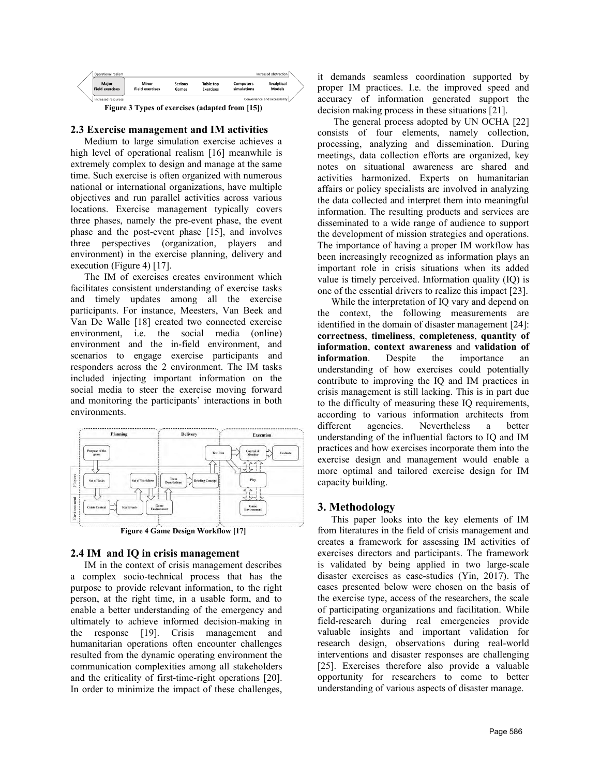

#### <span id="page-2-0"></span>**2.3 Exercise management and IM activities**

Medium to large simulation exercise achieves a high level of operational realism [\[16\]](#page-9-15) meanwhile is extremely complex to design and manage at the same time. Such exercise is often organized with numerous national or international organizations, have multiple objectives and run parallel activities across various locations. Exercise management typically covers three phases, namely the pre-event phase, the event phase and the post-event phase [\[15\]](#page-9-14), and involves three perspectives (organization, players and environment) in the exercise planning, delivery and execution [\(Figure 4\)](#page-2-1) [\[17\]](#page-9-16).

The IM of exercises creates environment which facilitates consistent understanding of exercise tasks and timely updates among all the exercise participants. For instance, [Meesters, Van Beek and](#page-9-17)  Van De Walle [18] created two connected exercise environment, i.e. the social media (online) environment and the in-field environment, and scenarios to engage exercise participants and responders across the 2 environment. The IM tasks included injecting important information on the social media to steer the exercise moving forward and monitoring the participants' interactions in both environments.



**Figure 4 Game Design Workflow [\[17\]](#page-9-16)**

#### <span id="page-2-1"></span>**2.4 IM and IQ in crisis management**

IM in the context of crisis management describes a complex socio-technical process that has the purpose to provide relevant information, to the right person, at the right time, in a usable form, and to enable a better understanding of the emergency and ultimately to achieve informed decision-making in the response [\[19\]](#page-9-18). Crisis management and humanitarian operations often encounter challenges resulted from the dynamic operating environment the communication complexities among all stakeholders and the criticality of first-time-right operations [\[20\]](#page-9-19). In order to minimize the impact of these challenges, it demands seamless coordination supported by proper IM practices. I.e. the improved speed and accuracy of information generated support the decision making process in these situations [\[21\]](#page-9-20).

The general process adopted by UN OCHA [\[22\]](#page-9-21) consists of four elements, namely collection, processing, analyzing and dissemination. During meetings, data collection efforts are organized, key notes on situational awareness are shared and activities harmonized. Experts on humanitarian affairs or policy specialists are involved in analyzing the data collected and interpret them into meaningful information. The resulting products and services are disseminated to a wide range of audience to support the development of mission strategies and operations. The importance of having a proper IM workflow has been increasingly recognized as information plays an important role in crisis situations when its added value is timely perceived. Information quality (IQ) is one of the essential drivers to realize this impact [\[23\]](#page-9-22).

While the interpretation of IQ vary and depend on the context, the following measurements are identified in the domain of disaster management [\[24\]](#page-9-23): **correctness**, **timeliness**, **completeness**, **quantity of information**, **context awareness** and **validation of information**. Despite the importance an understanding of how exercises could potentially contribute to improving the IQ and IM practices in crisis management is still lacking. This is in part due to the difficulty of measuring these IQ requirements, according to various information architects from different agencies. Nevertheless a better understanding of the influential factors to IQ and IM practices and how exercises incorporate them into the exercise design and management would enable a more optimal and tailored exercise design for IM capacity building.

### **3. Methodology**

This paper looks into the key elements of IM from literatures in the field of crisis management and creates a framework for assessing IM activities of exercises directors and participants. The framework is validated by being applied in two large-scale disaster exercises as case-studies (Yin, 2017). The cases presented below were chosen on the basis of the exercise type, access of the researchers, the scale of participating organizations and facilitation. While field-research during real emergencies provide valuable insights and important validation for research design, observations during real-world interventions and disaster responses are challenging [\[25\]](#page-9-24). Exercises therefore also provide a valuable opportunity for researchers to come to better understanding of various aspects of disaster manage.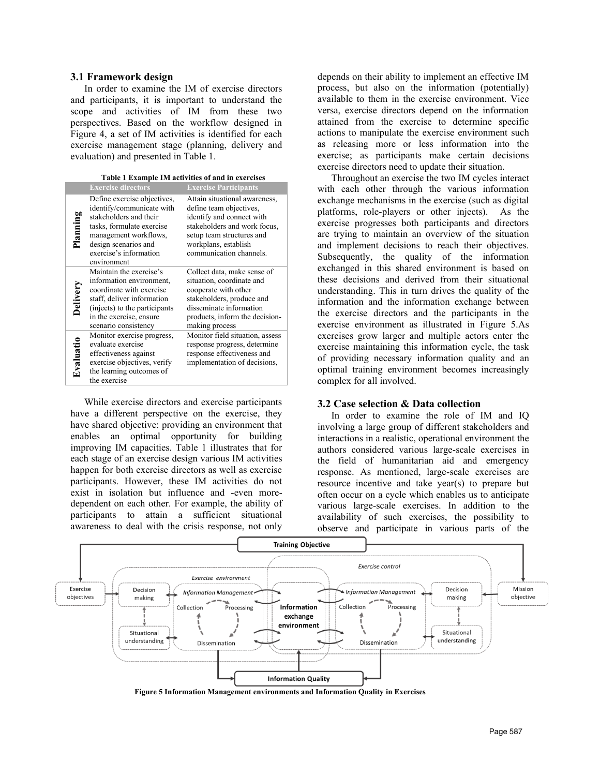#### **3.1 Framework design**

In order to examine the IM of exercise directors and participants, it is important to understand the scope and activities of IM from these two perspectives. Based on the workflow designed in Figure 4, a set of IM activities is identified for each exercise management stage (planning, delivery and evaluation) and presented i[n Table 1.](#page-3-0)

|--|

<span id="page-3-0"></span>

|           | <b>Exercise directors</b>                                                                                                                                                                                 | <b>Exercise Participants</b>                                                                                                                                                                          |
|-----------|-----------------------------------------------------------------------------------------------------------------------------------------------------------------------------------------------------------|-------------------------------------------------------------------------------------------------------------------------------------------------------------------------------------------------------|
| Planning  | Define exercise objectives,<br>identify/communicate with<br>stakeholders and their<br>tasks, formulate exercise<br>management workflows,<br>design scenarios and<br>exercise's information<br>environment | Attain situational awareness,<br>define team objectives,<br>identify and connect with<br>stakeholders and work focus,<br>setup team structures and<br>workplans, establish<br>communication channels. |
| Delivery  | Maintain the exercise's<br>information environment,<br>coordinate with exercise<br>staff, deliver information<br>(injects) to the participants<br>in the exercise, ensure<br>scenario consistency         | Collect data, make sense of<br>situation, coordinate and<br>cooperate with other<br>stakeholders, produce and<br>disseminate information<br>products, inform the decision-<br>making process          |
| Evaluatio | Monitor exercise progress,<br>evaluate exercise<br>effectiveness against<br>exercise objectives, verify<br>the learning outcomes of<br>the exercise                                                       | Monitor field situation, assess<br>response progress, determine<br>response effectiveness and<br>implementation of decisions,                                                                         |

While exercise directors and exercise participants have a different perspective on the exercise, they have shared objective: providing an environment that enables an optimal opportunity for building improving IM capacities. Table 1 illustrates that for each stage of an exercise design various IM activities happen for both exercise directors as well as exercise participants. However, these IM activities do not exist in isolation but influence and -even moredependent on each other. For example, the ability of participants to attain a sufficient situational awareness to deal with the crisis response, not only

depends on their ability to implement an effective IM process, but also on the information (potentially) available to them in the exercise environment. Vice versa, exercise directors depend on the information attained from the exercise to determine specific actions to manipulate the exercise environment such as releasing more or less information into the exercise; as participants make certain decisions exercise directors need to update their situation.

Throughout an exercise the two IM cycles interact with each other through the various information exchange mechanisms in the exercise (such as digital platforms, role-players or other injects). As the exercise progresses both participants and directors are trying to maintain an overview of the situation and implement decisions to reach their objectives. Subsequently, the quality of the information exchanged in this shared environment is based on these decisions and derived from their situational understanding. This in turn drives the quality of the information and the information exchange between the exercise directors and the participants in the exercise environment as illustrated in Figure 5.As exercises grow larger and multiple actors enter the exercise maintaining this information cycle, the task of providing necessary information quality and an optimal training environment becomes increasingly complex for all involved.

#### **3.2 Case selection & Data collection**

In order to examine the role of IM and IQ involving a large group of different stakeholders and interactions in a realistic, operational environment the authors considered various large-scale exercises in the field of humanitarian aid and emergency response. As mentioned, large-scale exercises are resource incentive and take year(s) to prepare but often occur on a cycle which enables us to anticipate various large-scale exercises. In addition to the availability of such exercises, the possibility to observe and participate in various parts of the



<span id="page-3-1"></span>**Figure 5 Information Management environments and Information Quality in Exercises**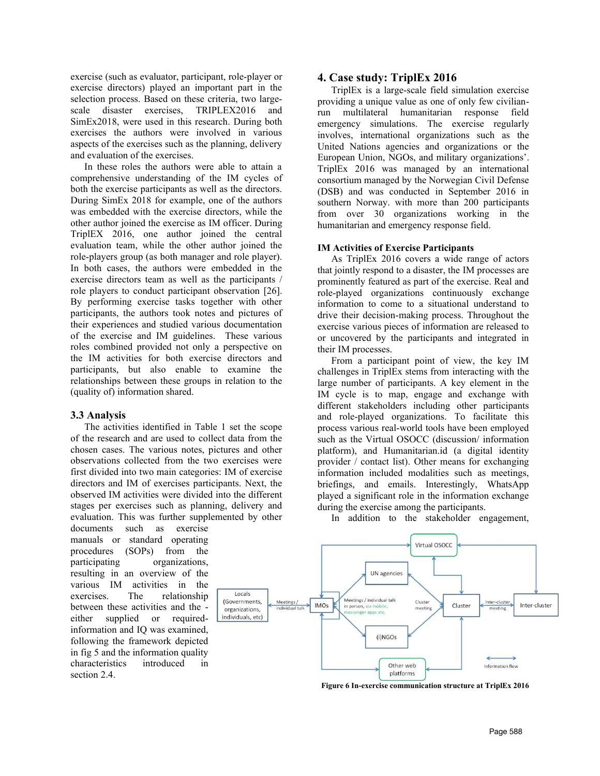exercise (such as evaluator, participant, role-player or exercise directors) played an important part in the selection process. Based on these criteria, two largescale disaster exercises, TRIPLEX2016 and SimEx2018, were used in this research. During both exercises the authors were involved in various aspects of the exercises such as the planning, delivery and evaluation of the exercises.

In these roles the authors were able to attain a comprehensive understanding of the IM cycles of both the exercise participants as well as the directors. During SimEx 2018 for example, one of the authors was embedded with the exercise directors, while the other author joined the exercise as IM officer. During TriplEX 2016, one author joined the central evaluation team, while the other author joined the role-players group (as both manager and role player). In both cases, the authors were embedded in the exercise directors team as well as the participants / role players to conduct participant observation [\[26\]](#page-9-25). By performing exercise tasks together with other participants, the authors took notes and pictures of their experiences and studied various documentation of the exercise and IM guidelines. These various roles combined provided not only a perspective on the IM activities for both exercise directors and participants, but also enable to examine the relationships between these groups in relation to the (quality of) information shared.

#### **3.3 Analysis**

The activities identified in [Table 1](#page-3-0) set the scope of the research and are used to collect data from the chosen cases. The various notes, pictures and other observations collected from the two exercises were first divided into two main categories: IM of exercise directors and IM of exercises participants. Next, the observed IM activities were divided into the different stages per exercises such as planning, delivery and evaluation. This was further supplemented by other

documents such as exercise manuals or standard operating procedures (SOPs) from the participating organizations, resulting in an overview of the various IM activities in the exercises. The relationship between these activities and the either supplied or requiredinformation and IQ was examined, following the framework depicted in fig 5 and the information quality characteristics introduced in section 2.4.

#### **4. Case study: TriplEx 2016**

TriplEx is a large-scale field simulation exercise providing a unique value as one of only few civilianrun multilateral humanitarian response field emergency simulations. The exercise regularly involves, international organizations such as the United Nations agencies and organizations or the European Union, NGOs, and military organizations'. TriplEx 2016 was managed by an international consortium managed by the Norwegian Civil Defense (DSB) and was conducted in September 2016 in southern Norway. with more than 200 participants from over 30 organizations working in the humanitarian and emergency response field.

#### **IM Activities of Exercise Participants**

As TriplEx 2016 covers a wide range of actors that jointly respond to a disaster, the IM processes are prominently featured as part of the exercise. Real and role-played organizations continuously exchange information to come to a situational understand to drive their decision-making process. Throughout the exercise various pieces of information are released to or uncovered by the participants and integrated in their IM processes.

From a participant point of view, the key IM challenges in TriplEx stems from interacting with the large number of participants. A key element in the IM cycle is to map, engage and exchange with different stakeholders including other participants and role-played organizations. To facilitate this process various real-world tools have been employed such as the Virtual OSOCC (discussion/ information platform), and Humanitarian.id (a digital identity provider / contact list). Other means for exchanging information included modalities such as meetings, briefings, and emails. Interestingly, WhatsApp played a significant role in the information exchange during the exercise among the participants.

In addition to the stakeholder engagement,



**Figure 6 In-exercise communication structure at TriplEx 2016**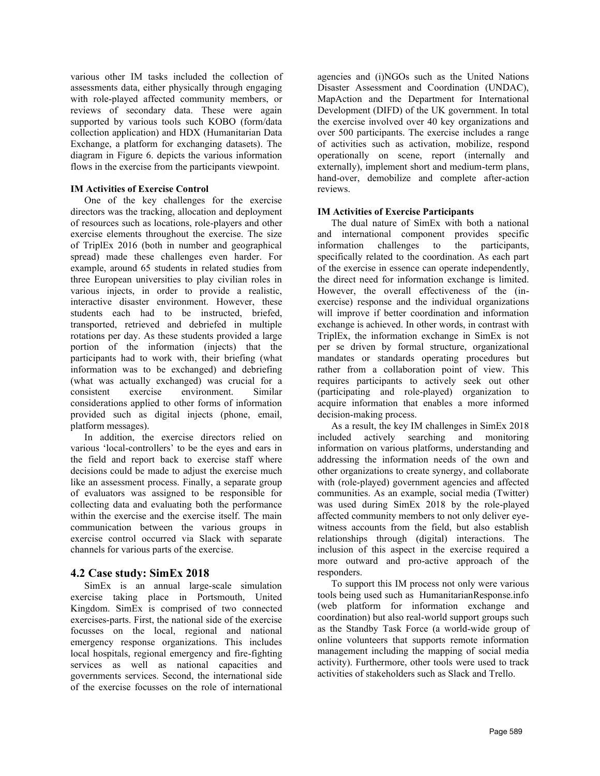various other IM tasks included the collection of assessments data, either physically through engaging with role-played affected community members, or reviews of secondary data. These were again supported by various tools such KOBO (form/data collection application) and HDX (Humanitarian Data Exchange, a platform for exchanging datasets). The diagram in Figure 6. depicts the various information flows in the exercise from the participants viewpoint.

### **IM Activities of Exercise Control**

One of the key challenges for the exercise directors was the tracking, allocation and deployment of resources such as locations, role-players and other exercise elements throughout the exercise. The size of TriplEx 2016 (both in number and geographical spread) made these challenges even harder. For example, around 65 students in related studies from three European universities to play civilian roles in various injects, in order to provide a realistic, interactive disaster environment. However, these students each had to be instructed, briefed, transported, retrieved and debriefed in multiple rotations per day. As these students provided a large portion of the information (injects) that the participants had to work with, their briefing (what information was to be exchanged) and debriefing (what was actually exchanged) was crucial for a consistent exercise environment. Similar considerations applied to other forms of information provided such as digital injects (phone, email, platform messages).

In addition, the exercise directors relied on various 'local-controllers' to be the eyes and ears in the field and report back to exercise staff where decisions could be made to adjust the exercise much like an assessment process. Finally, a separate group of evaluators was assigned to be responsible for collecting data and evaluating both the performance within the exercise and the exercise itself. The main communication between the various groups in exercise control occurred via Slack with separate channels for various parts of the exercise.

### **4.2 Case study: SimEx 2018**

SimEx is an annual large-scale simulation exercise taking place in Portsmouth, United Kingdom. SimEx is comprised of two connected exercises-parts. First, the national side of the exercise focusses on the local, regional and national emergency response organizations. This includes local hospitals, regional emergency and fire-fighting services as well as national capacities and governments services. Second, the international side of the exercise focusses on the role of international

agencies and (i)NGOs such as the United Nations Disaster Assessment and Coordination (UNDAC), MapAction and the Department for International Development (DIFD) of the UK government. In total the exercise involved over 40 key organizations and over 500 participants. The exercise includes a range of activities such as activation, mobilize, respond operationally on scene, report (internally and externally), implement short and medium-term plans, hand-over, demobilize and complete after-action reviews.

### **IM Activities of Exercise Participants**

The dual nature of SimEx with both a national and international component provides specific information challenges to the participants, specifically related to the coordination. As each part of the exercise in essence can operate independently, the direct need for information exchange is limited. However, the overall effectiveness of the (inexercise) response and the individual organizations will improve if better coordination and information exchange is achieved. In other words, in contrast with TriplEx, the information exchange in SimEx is not per se driven by formal structure, organizational mandates or standards operating procedures but rather from a collaboration point of view. This requires participants to actively seek out other (participating and role-played) organization to acquire information that enables a more informed decision-making process.

As a result, the key IM challenges in SimEx 2018 included actively searching and monitoring information on various platforms, understanding and addressing the information needs of the own and other organizations to create synergy, and collaborate with (role-played) government agencies and affected communities. As an example, social media (Twitter) was used during SimEx 2018 by the role-played affected community members to not only deliver eyewitness accounts from the field, but also establish relationships through (digital) interactions. The inclusion of this aspect in the exercise required a more outward and pro-active approach of the responders.

To support this IM process not only were various tools being used such as HumanitarianResponse.info (web platform for information exchange and coordination) but also real-world support groups such as the Standby Task Force (a world-wide group of online volunteers that supports remote information management including the mapping of social media activity). Furthermore, other tools were used to track activities of stakeholders such as Slack and Trello.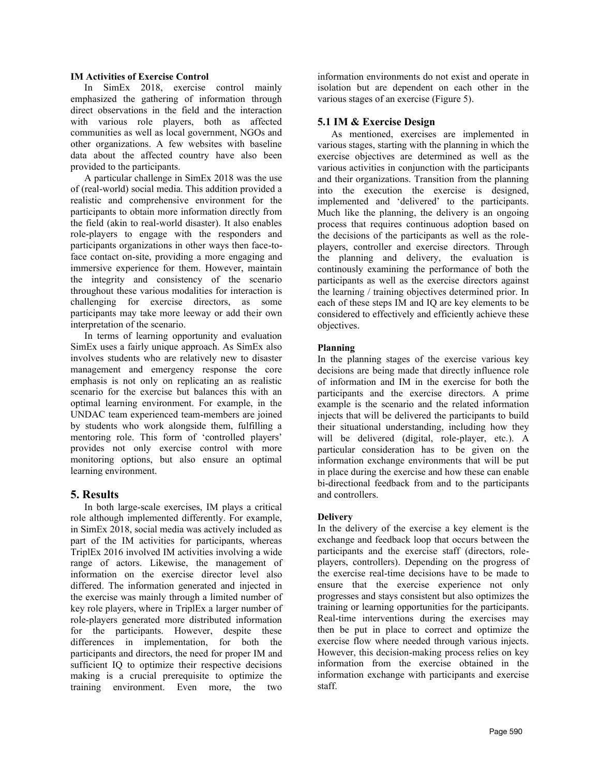#### **IM Activities of Exercise Control**

In SimEx 2018, exercise control mainly emphasized the gathering of information through direct observations in the field and the interaction with various role players, both as affected communities as well as local government, NGOs and other organizations. A few websites with baseline data about the affected country have also been provided to the participants.

A particular challenge in SimEx 2018 was the use of (real-world) social media. This addition provided a realistic and comprehensive environment for the participants to obtain more information directly from the field (akin to real-world disaster). It also enables role-players to engage with the responders and participants organizations in other ways then face-toface contact on-site, providing a more engaging and immersive experience for them. However, maintain the integrity and consistency of the scenario throughout these various modalities for interaction is challenging for exercise directors, as some participants may take more leeway or add their own interpretation of the scenario.

In terms of learning opportunity and evaluation SimEx uses a fairly unique approach. As SimEx also involves students who are relatively new to disaster management and emergency response the core emphasis is not only on replicating an as realistic scenario for the exercise but balances this with an optimal learning environment. For example, in the UNDAC team experienced team-members are joined by students who work alongside them, fulfilling a mentoring role. This form of 'controlled players' provides not only exercise control with more monitoring options, but also ensure an optimal learning environment.

### **5. Results**

In both large-scale exercises, IM plays a critical role although implemented differently. For example, in SimEx 2018, social media was actively included as part of the IM activities for participants, whereas TriplEx 2016 involved IM activities involving a wide range of actors. Likewise, the management of information on the exercise director level also differed. The information generated and injected in the exercise was mainly through a limited number of key role players, where in TriplEx a larger number of role-players generated more distributed information for the participants. However, despite these differences in implementation, for both the participants and directors, the need for proper IM and sufficient IQ to optimize their respective decisions making is a crucial prerequisite to optimize the training environment. Even more, the two

information environments do not exist and operate in isolation but are dependent on each other in the various stages of an exercise (Figure 5).

### **5.1 IM & Exercise Design**

As mentioned, exercises are implemented in various stages, starting with the planning in which the exercise objectives are determined as well as the various activities in conjunction with the participants and their organizations. Transition from the planning into the execution the exercise is designed, implemented and 'delivered' to the participants. Much like the planning, the delivery is an ongoing process that requires continuous adoption based on the decisions of the participants as well as the roleplayers, controller and exercise directors. Through the planning and delivery, the evaluation is continously examining the performance of both the participants as well as the exercise directors against the learning / training objectives determined prior. In each of these steps IM and IQ are key elements to be considered to effectively and efficiently achieve these objectives.

### **Planning**

In the planning stages of the exercise various key decisions are being made that directly influence role of information and IM in the exercise for both the participants and the exercise directors. A prime example is the scenario and the related information injects that will be delivered the participants to build their situational understanding, including how they will be delivered (digital, role-player, etc.). A particular consideration has to be given on the information exchange environments that will be put in place during the exercise and how these can enable bi-directional feedback from and to the participants and controllers.

### **Delivery**

In the delivery of the exercise a key element is the exchange and feedback loop that occurs between the participants and the exercise staff (directors, roleplayers, controllers). Depending on the progress of the exercise real-time decisions have to be made to ensure that the exercise experience not only progresses and stays consistent but also optimizes the training or learning opportunities for the participants. Real-time interventions during the exercises may then be put in place to correct and optimize the exercise flow where needed through various injects. However, this decision-making process relies on key information from the exercise obtained in the information exchange with participants and exercise staff.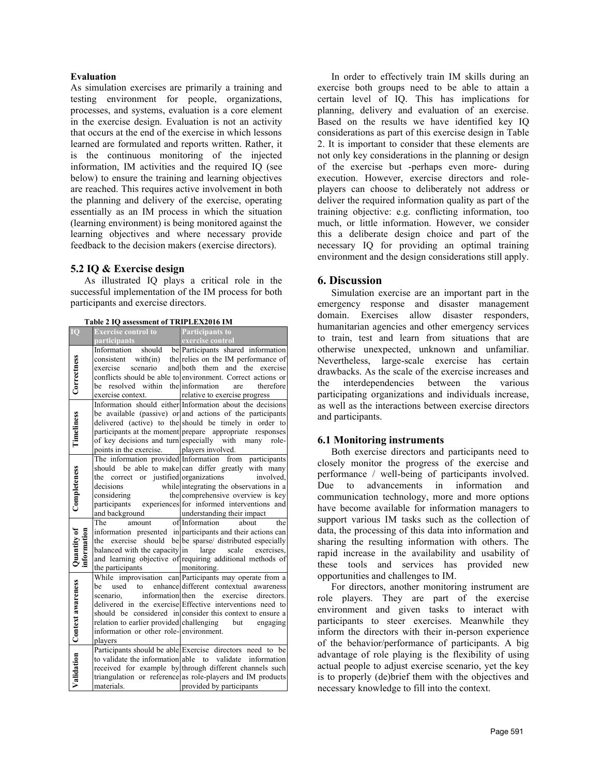#### **Evaluation**

As simulation exercises are primarily a training and testing environment for people, organizations, processes, and systems, evaluation is a core element in the exercise design. Evaluation is not an activity that occurs at the end of the exercise in which lessons learned are formulated and reports written. Rather, it is the continuous monitoring of the injected information, IM activities and the required IQ (see below) to ensure the training and learning objectives are reached. This requires active involvement in both the planning and delivery of the exercise, operating essentially as an IM process in which the situation (learning environment) is being monitored against the learning objectives and where necessary provide feedback to the decision makers (exercise directors).

### **5.2 IQ & Exercise design**

As illustrated IQ plays a critical role in the successful implementation of the IM process for both participants and exercise directors.

| Table 2 IQ assessment of TRIPLEX2016 IM |  |
|-----------------------------------------|--|
|                                         |  |

| IO                           | <b>Exercise control to</b>                          | <b>Participants to</b>                                                       |
|------------------------------|-----------------------------------------------------|------------------------------------------------------------------------------|
|                              | participants                                        | exercise control                                                             |
|                              | Information                                         | should be Participants shared information                                    |
| Correctness                  | consistent                                          | with $(in)$ the relies on the IM performance of                              |
|                              | scenario<br>exercise                                | and both them and the exercise                                               |
|                              |                                                     | conflicts should be able to environment. Correct actions or                  |
|                              | resolved within the information<br>be               | therefore<br>are                                                             |
|                              | exercise context.                                   | relative to exercise progress                                                |
| Timeliness                   |                                                     | Information should either Information about the decisions                    |
|                              |                                                     | be available (passive) or and actions of the participants                    |
|                              |                                                     | delivered (active) to the should be timely in order to                       |
|                              |                                                     | participants at the moment prepare appropriate responses                     |
|                              | of key decisions and turn especially with           | many role-                                                                   |
|                              | points in the exercise. players involved.           |                                                                              |
|                              | The information provided Information                | from participants                                                            |
|                              |                                                     | should be able to make can differ greatly with many                          |
|                              | the correct or justified organizations<br>decisions | involved.                                                                    |
| Completeness                 | considering                                         | while integrating the observations in a<br>the comprehensive overview is key |
|                              |                                                     | participants experiences for informed interventions and                      |
|                              | and background                                      | understanding their impact                                                   |
|                              | The<br>amount                                       | of Information<br>the<br>about                                               |
|                              |                                                     | information presented in participants and their actions can                  |
| Quantity of                  | exercise<br>the                                     | should be be sparse/ distributed especially                                  |
|                              | balanced with the capacity in large scale           | exercises.                                                                   |
|                              |                                                     | and learning objective of requiring additional methods of                    |
|                              | the participants monitoring.                        |                                                                              |
|                              |                                                     | While improvisation can Participants may operate from a                      |
|                              | used<br>he<br>to                                    | enhance different contextual awareness                                       |
|                              | scenario.                                           | information then the<br>exercise<br>directors.                               |
|                              |                                                     | delivered in the exercise Effective interventions need to                    |
|                              |                                                     | should be considered in consider this context to ensure a                    |
|                              | relation to earlier provided challenging            | but<br>engaging                                                              |
|                              | information or other role-environment.              |                                                                              |
|                              | plavers                                             |                                                                              |
| Validation Context awareness |                                                     | Participants should be able Exercise directors need to be                    |
|                              |                                                     | to validate the information able to validate information                     |
|                              |                                                     | received for example by through different channels such                      |
|                              |                                                     | triangulation or reference as role-players and IM products                   |
|                              | materials.                                          | provided by participants                                                     |

In order to effectively train IM skills during an exercise both groups need to be able to attain a certain level of IQ. This has implications for planning, delivery and evaluation of an exercise. Based on the results we have identified key IQ considerations as part of this exercise design in Table 2. It is important to consider that these elements are not only key considerations in the planning or design of the exercise but -perhaps even more- during execution. However, exercise directors and roleplayers can choose to deliberately not address or deliver the required information quality as part of the training objective: e.g. conflicting information, too much, or little information. However, we consider this a deliberate design choice and part of the necessary IQ for providing an optimal training environment and the design considerations still apply.

### **6. Discussion**

Simulation exercise are an important part in the emergency response and disaster management domain. Exercises allow disaster responders, humanitarian agencies and other emergency services to train, test and learn from situations that are otherwise unexpected, unknown and unfamiliar. Nevertheless, large-scale exercise has certain drawbacks. As the scale of the exercise increases and the interdependencies between the various participating organizations and individuals increase, as well as the interactions between exercise directors and participants.

### **6.1 Monitoring instruments**

Both exercise directors and participants need to closely monitor the progress of the exercise and performance / well-being of participants involved. Due to advancements in information and communication technology, more and more options have become available for information managers to support various IM tasks such as the collection of data, the processing of this data into information and sharing the resulting information with others. The rapid increase in the availability and usability of these tools and services has provided new opportunities and challenges to IM.

For directors, another monitoring instrument are role players. They are part of the exercise environment and given tasks to interact with participants to steer exercises. Meanwhile they inform the directors with their in-person experience of the behavior/performance of participants. A big advantage of role playing is the flexibility of using actual people to adjust exercise scenario, yet the key is to properly (de)brief them with the objectives and necessary knowledge to fill into the context.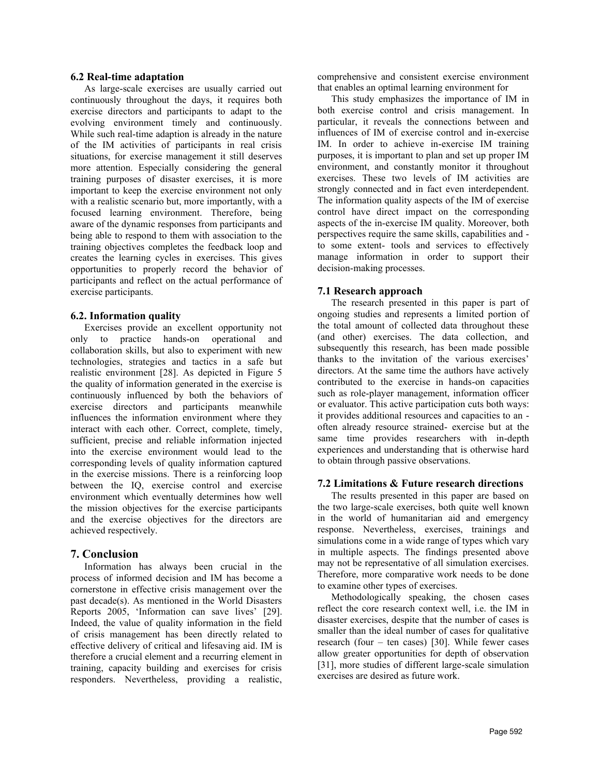#### **6.2 Real-time adaptation**

As large-scale exercises are usually carried out continuously throughout the days, it requires both exercise directors and participants to adapt to the evolving environment timely and continuously. While such real-time adaption is already in the nature of the IM activities of participants in real crisis situations, for exercise management it still deserves more attention. Especially considering the general training purposes of disaster exercises, it is more important to keep the exercise environment not only with a realistic scenario but, more importantly, with a focused learning environment. Therefore, being aware of the dynamic responses from participants and being able to respond to them with association to the training objectives completes the feedback loop and creates the learning cycles in exercises. This gives opportunities to properly record the behavior of participants and reflect on the actual performance of exercise participants.

#### **6.2. Information quality**

Exercises provide an excellent opportunity not only to practice hands-on operational and collaboration skills, but also to experiment with new technologies, strategies and tactics in a safe but realistic environment [\[28\]](#page-9-26). As depicted in [Figure 5](#page-3-1) the quality of information generated in the exercise is continuously influenced by both the behaviors of exercise directors and participants meanwhile influences the information environment where they interact with each other. Correct, complete, timely, sufficient, precise and reliable information injected into the exercise environment would lead to the corresponding levels of quality information captured in the exercise missions. There is a reinforcing loop between the IQ, exercise control and exercise environment which eventually determines how well the mission objectives for the exercise participants and the exercise objectives for the directors are achieved respectively.

### **7. Conclusion**

Information has always been crucial in the process of informed decision and IM has become a cornerstone in effective crisis management over the past decade(s). As mentioned in the World Disasters Reports 2005, 'Information can save lives' [\[29\]](#page-9-27). Indeed, the value of quality information in the field of crisis management has been directly related to effective delivery of critical and lifesaving aid. IM is therefore a crucial element and a recurring element in training, capacity building and exercises for crisis responders. Nevertheless, providing a realistic, comprehensive and consistent exercise environment that enables an optimal learning environment for

This study emphasizes the importance of IM in both exercise control and crisis management. In particular, it reveals the connections between and influences of IM of exercise control and in-exercise IM. In order to achieve in-exercise IM training purposes, it is important to plan and set up proper IM environment, and constantly monitor it throughout exercises. These two levels of IM activities are strongly connected and in fact even interdependent. The information quality aspects of the IM of exercise control have direct impact on the corresponding aspects of the in-exercise IM quality. Moreover, both perspectives require the same skills, capabilities and to some extent- tools and services to effectively manage information in order to support their decision-making processes.

### **7.1 Research approach**

The research presented in this paper is part of ongoing studies and represents a limited portion of the total amount of collected data throughout these (and other) exercises. The data collection, and subsequently this research, has been made possible thanks to the invitation of the various exercises' directors. At the same time the authors have actively contributed to the exercise in hands-on capacities such as role-player management, information officer or evaluator. This active participation cuts both ways: it provides additional resources and capacities to an often already resource strained- exercise but at the same time provides researchers with in-depth experiences and understanding that is otherwise hard to obtain through passive observations.

#### **7.2 Limitations & Future research directions**

The results presented in this paper are based on the two large-scale exercises, both quite well known in the world of humanitarian aid and emergency response. Nevertheless, exercises, trainings and simulations come in a wide range of types which vary in multiple aspects. The findings presented above may not be representative of all simulation exercises. Therefore, more comparative work needs to be done to examine other types of exercises.

Methodologically speaking, the chosen cases reflect the core research context well, i.e. the IM in disaster exercises, despite that the number of cases is smaller than the ideal number of cases for qualitative research (four – ten cases) [\[30\]](#page-9-28). While fewer cases allow greater opportunities for depth of observation [\[31\]](#page-9-29), more studies of different large-scale simulation exercises are desired as future work.